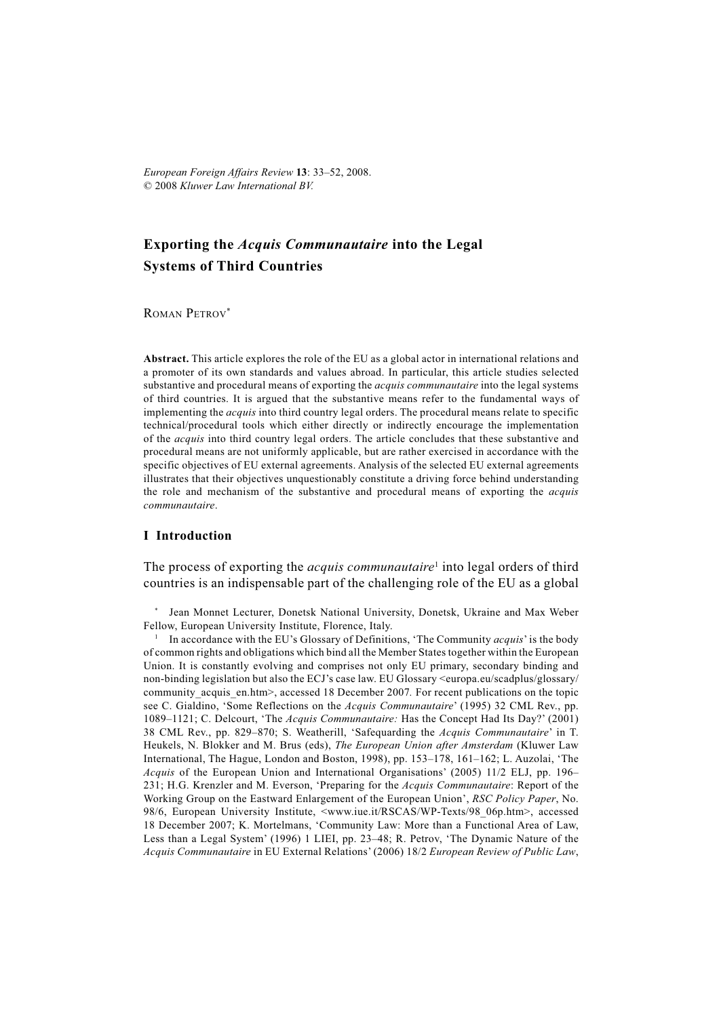*European Foreign Affairs Review* **13**: 33–52, 2008. © 2008 *Kluwer Law International BV.*

# **Exporting the** *Acquis Communautaire* **into the Legal Systems of Third Countries**

ROMAN PETROV\*

**Abstract.** This article explores the role of the EU as a global actor in international relations and a promoter of its own standards and values abroad. In particular, this article studies selected substantive and procedural means of exporting the *acquis communautaire* into the legal systems of third countries. It is argued that the substantive means refer to the fundamental ways of implementing the *acquis* into third country legal orders. The procedural means relate to specific technical/procedural tools which either directly or indirectly encourage the implementation of the *acquis* into third country legal orders. The article concludes that these substantive and procedural means are not uniformly applicable, but are rather exercised in accordance with the specific objectives of EU external agreements. Analysis of the selected EU external agreements illustrates that their objectives unquestionably constitute a driving force behind understanding the role and mechanism of the substantive and procedural means of exporting the *acquis communautaire*.

### **I Introduction**

The process of exporting the *acquis communautaire*<sup>1</sup> into legal orders of third countries is an indispensable part of the challenging role of the EU as a global

\* Jean Monnet Lecturer, Donetsk National University, Donetsk, Ukraine and Max Weber Fellow, European University Institute, Florence, Italy. 1

<sup>1</sup> In accordance with the EU's Glossary of Definitions, 'The Community *acquis*' is the body of common rights and obligations which bind all the Member States together within the European Union. It is constantly evolving and comprises not only EU primary, secondary binding and non-binding legislation but also the ECJ's case law. EU Glossary <europa.eu/scadplus/glossary/ community acquis en.htm>, accessed 18 December 2007. For recent publications on the topic see C. Gialdino, 'Some Reflections on the *Acquis Communautaire*' (1995) 32 CML Rev., pp. 1089–1121; C. Delcourt, 'The *Acquis Communautaire:* Has the Concept Had Its Day?' (2001) 38 CML Rev., pp. 829–870; S. Weatherill, 'Safequarding the *Acquis Communautaire*' in T. Heukels, N. Blokker and M. Brus (eds), *The European Union after Amsterdam* (Kluwer Law International, The Hague, London and Boston, 1998), pp. 153–178, 161–162; L. Auzolai, 'The *Acquis* of the European Union and International Organisations' (2005) 11/2 ELJ, pp. 196– 231; H.G. Krenzler and M. Everson, 'Preparing for the *Acquis Communautaire*: Report of the Working Group on the Eastward Enlargement of the European Union', *RSC Policy Paper*, No. 98/6, European University Institute, <www.iue.it/RSCAS/WP-Texts/98\_06p.htm>, accessed 18 December 2007; K. Mortelmans, 'Community Law: More than a Functional Area of Law, Less than a Legal System' (1996) 1 LIEI, pp. 23–48; R. Petrov, 'The Dynamic Nature of the *Acquis Communautaire* in EU External Relations' (2006) 18/2 *European Review of Public Law*,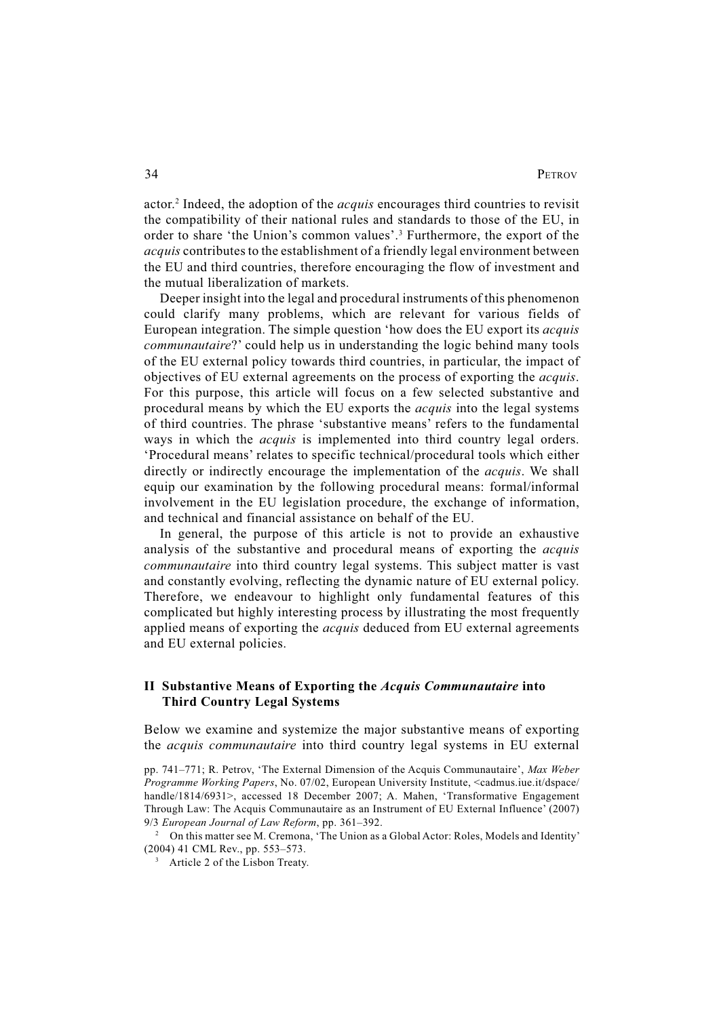actor.2 Indeed, the adoption of the *acquis* encourages third countries to revisit the compatibility of their national rules and standards to those of the EU, in order to share 'the Union's common values'.<sup>3</sup> Furthermore, the export of the *acquis* contributes to the establishment of a friendly legal environment between the EU and third countries, therefore encouraging the flow of investment and the mutual liberalization of markets.

Deeper insight into the legal and procedural instruments of this phenomenon could clarify many problems, which are relevant for various fields of European integration. The simple question 'how does the EU export its *acquis communautaire*?' could help us in understanding the logic behind many tools of the EU external policy towards third countries, in particular, the impact of objectives of EU external agreements on the process of exporting the *acquis*. For this purpose, this article will focus on a few selected substantive and procedural means by which the EU exports the *acquis* into the legal systems of third countries. The phrase 'substantive means' refers to the fundamental ways in which the *acquis* is implemented into third country legal orders. 'Procedural means' relates to specific technical/procedural tools which either directly or indirectly encourage the implementation of the *acquis*. We shall equip our examination by the following procedural means: formal/informal involvement in the EU legislation procedure, the exchange of information, and technical and financial assistance on behalf of the EU.

In general, the purpose of this article is not to provide an exhaustive analysis of the substantive and procedural means of exporting the *acquis communautaire* into third country legal systems. This subject matter is vast and constantly evolving, reflecting the dynamic nature of EU external policy. Therefore, we endeavour to highlight only fundamental features of this complicated but highly interesting process by illustrating the most frequently applied means of exporting the *acquis* deduced from EU external agreements and EU external policies.

## **II Substantive Means of Exporting the** *Acquis Communautaire* **into Third Country Legal Systems**

Below we examine and systemize the major substantive means of exporting the *acquis communautaire* into third country legal systems in EU external

<sup>2</sup> On this matter see M. Cremona, 'The Union as a Global Actor: Roles, Models and Identity' (2004) 41 CML Rev., pp. 553–573.

pp. 741–771; R. Petrov, 'The External Dimension of the Acquis Communautaire', *Max Weber Programme Working Papers*, No. 07/02, European University Institute, <cadmus.iue.it/dspace/ handle/1814/6931>, accessed 18 December 2007; A. Mahen, 'Transformative Engagement Through Law: The Acquis Communautaire as an Instrument of EU External Influence' (2007) 9/3 *European Journal of Law Reform*, pp. 361–392.

<sup>&</sup>lt;sup>3</sup> Article 2 of the Lisbon Treaty.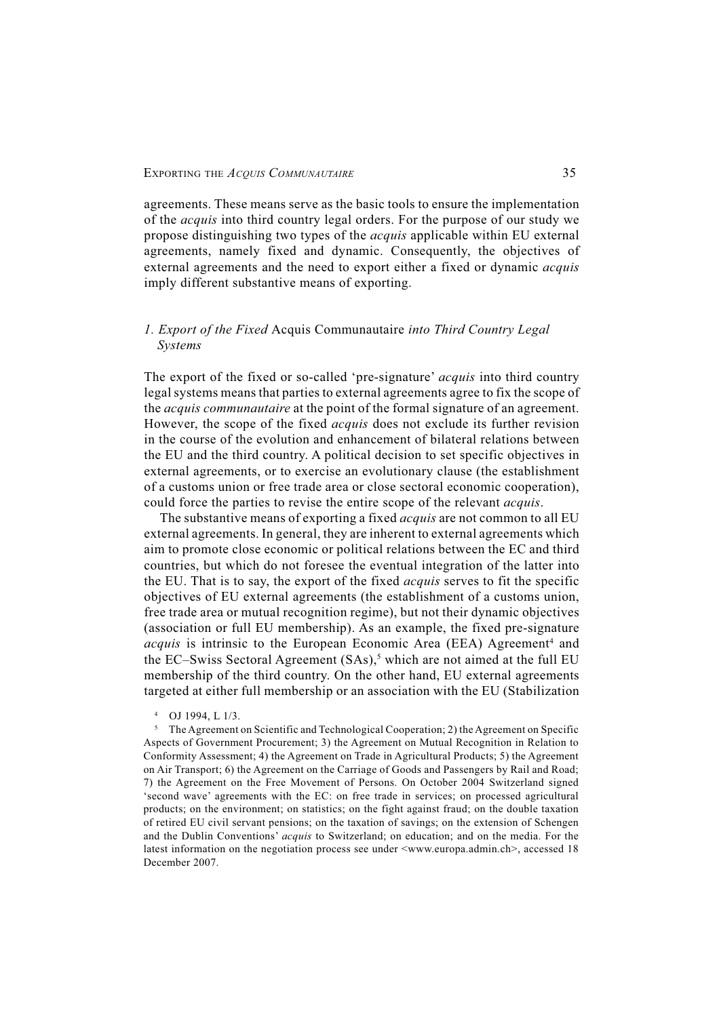agreements. These means serve as the basic tools to ensure the implementation of the *acquis* into third country legal orders. For the purpose of our study we propose distinguishing two types of the *acquis* applicable within EU external agreements, namely fixed and dynamic. Consequently, the objectives of external agreements and the need to export either a fixed or dynamic *acquis* imply different substantive means of exporting.

## *1. Export of the Fixed* Acquis Communautaire *into Third Country Legal Systems*

The export of the fixed or so-called 'pre-signature' *acquis* into third country legal systems means that parties to external agreements agree to fix the scope of the *acquis communautaire* at the point of the formal signature of an agreement. However, the scope of the fixed *acquis* does not exclude its further revision in the course of the evolution and enhancement of bilateral relations between the EU and the third country. A political decision to set specific objectives in external agreements, or to exercise an evolutionary clause (the establishment of a customs union or free trade area or close sectoral economic cooperation), could force the parties to revise the entire scope of the relevant *acquis*.

The substantive means of exporting a fixed *acquis* are not common to all EU external agreements. In general, they are inherent to external agreements which aim to promote close economic or political relations between the EC and third countries, but which do not foresee the eventual integration of the latter into the EU. That is to say, the export of the fixed *acquis* serves to fit the specific objectives of EU external agreements (the establishment of a customs union, free trade area or mutual recognition regime), but not their dynamic objectives (association or full EU membership). As an example, the fixed pre-signature acquis is intrinsic to the European Economic Area (EEA) Agreement<sup>4</sup> and the EC–Swiss Sectoral Agreement (SAs),<sup>5</sup> which are not aimed at the full EU membership of the third country. On the other hand, EU external agreements targeted at either full membership or an association with the EU (Stabilization

<sup>4</sup> OJ 1994, L 1/3.

<sup>&</sup>lt;sup>5</sup> The Agreement on Scientific and Technological Cooperation; 2) the Agreement on Specific Aspects of Government Procurement; 3) the Agreement on Mutual Recognition in Relation to Conformity Assessment; 4) the Agreement on Trade in Agricultural Products; 5) the Agreement on Air Transport; 6) the Agreement on the Carriage of Goods and Passengers by Rail and Road; 7) the Agreement on the Free Movement of Persons. On October 2004 Switzerland signed 'second wave' agreements with the EC: on free trade in services; on processed agricultural products; on the environment; on statistics; on the fight against fraud; on the double taxation of retired EU civil servant pensions; on the taxation of savings; on the extension of Schengen and the Dublin Conventions' *acquis* to Switzerland; on education; and on the media. For the latest information on the negotiation process see under  $\langle$ www.europa.admin.ch>, accessed 18 December 2007.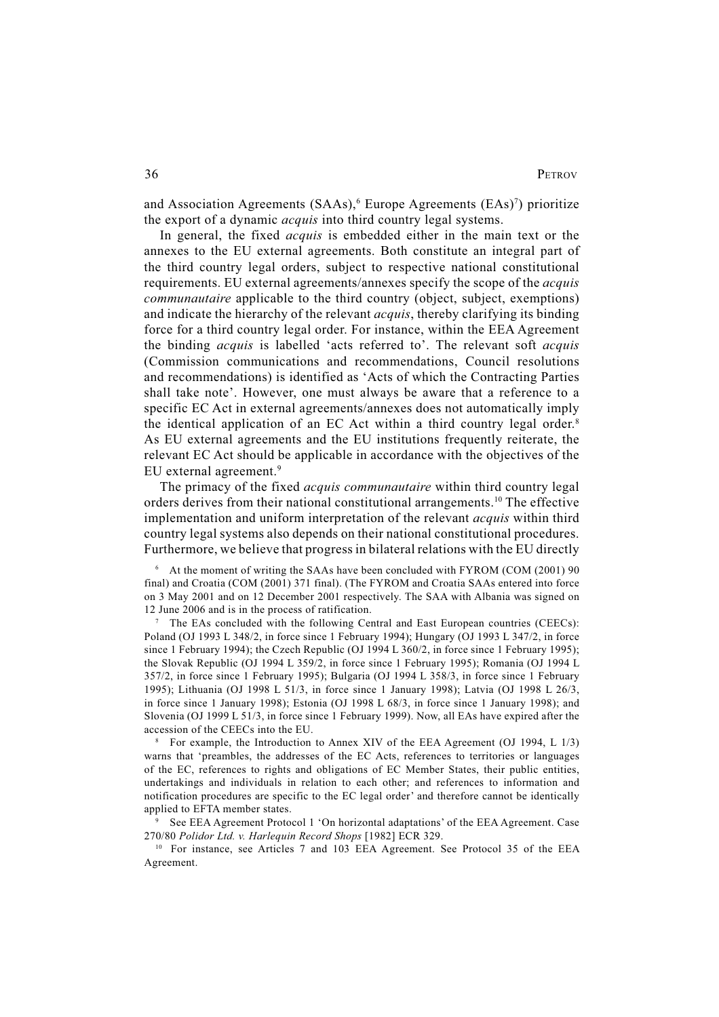and Association Agreements (SAAs),<sup>6</sup> Europe Agreements (EAs)<sup>7</sup>) prioritize the export of a dynamic *acquis* into third country legal systems.

In general, the fixed *acquis* is embedded either in the main text or the annexes to the EU external agreements. Both constitute an integral part of the third country legal orders, subject to respective national constitutional requirements. EU external agreements/annexes specify the scope of the *acquis communautaire* applicable to the third country (object, subject, exemptions) and indicate the hierarchy of the relevant *acquis*, thereby clarifying its binding force for a third country legal order. For instance, within the EEA Agreement the binding *acquis* is labelled 'acts referred to'. The relevant soft *acquis* (Commission communications and recommendations, Council resolutions and recommendations) is identified as 'Acts of which the Contracting Parties shall take note'. However, one must always be aware that a reference to a specific EC Act in external agreements/annexes does not automatically imply the identical application of an EC Act within a third country legal order.<sup>8</sup> As EU external agreements and the EU institutions frequently reiterate, the relevant EC Act should be applicable in accordance with the objectives of the EU external agreement.9

The primacy of the fixed *acquis communautaire* within third country legal orders derives from their national constitutional arrangements.10 The effective implementation and uniform interpretation of the relevant *acquis* within third country legal systems also depends on their national constitutional procedures. Furthermore, we believe that progress in bilateral relations with the EU directly

6 At the moment of writing the SAAs have been concluded with FYROM (COM (2001) 90 final) and Croatia (COM (2001) 371 final). (The FYROM and Croatia SAAs entered into force on 3 May 2001 and on 12 December 2001 respectively. The SAA with Albania was signed on 12 June 2006 and is in the process of ratification.

7 The EAs concluded with the following Central and East European countries (CEECs): Poland (OJ 1993 L 348/2, in force since 1 February 1994); Hungary (OJ 1993 L 347/2, in force since 1 February 1994); the Czech Republic (OJ 1994 L 360/2, in force since 1 February 1995); the Slovak Republic (OJ 1994 L 359/2, in force since 1 February 1995); Romania (OJ 1994 L 357/2, in force since 1 February 1995); Bulgaria (OJ 1994 L 358/3, in force since 1 February 1995); Lithuania (OJ 1998 L 51/3, in force since 1 January 1998); Latvia (OJ 1998 L 26/3, in force since 1 January 1998); Estonia (OJ 1998 L 68/3, in force since 1 January 1998); and Slovenia (OJ 1999 L 51/3, in force since 1 February 1999). Now, all EAs have expired after the accession of the CEECs into the EU.

8 For example, the Introduction to Annex XIV of the EEA Agreement (OJ 1994, L 1/3) warns that 'preambles, the addresses of the EC Acts, references to territories or languages of the EC, references to rights and obligations of EC Member States, their public entities, undertakings and individuals in relation to each other; and references to information and notification procedures are specific to the EC legal order' and therefore cannot be identically applied to EFTA member states.

9 See EEA Agreement Protocol 1 'On horizontal adaptations' of the EEA Agreement. Case 270/80 *Polidor Ltd. v. Harlequin Record Shops* [1982] ECR 329.

<sup>10</sup> For instance, see Articles 7 and 103 EEA Agreement. See Protocol 35 of the EEA Agreement.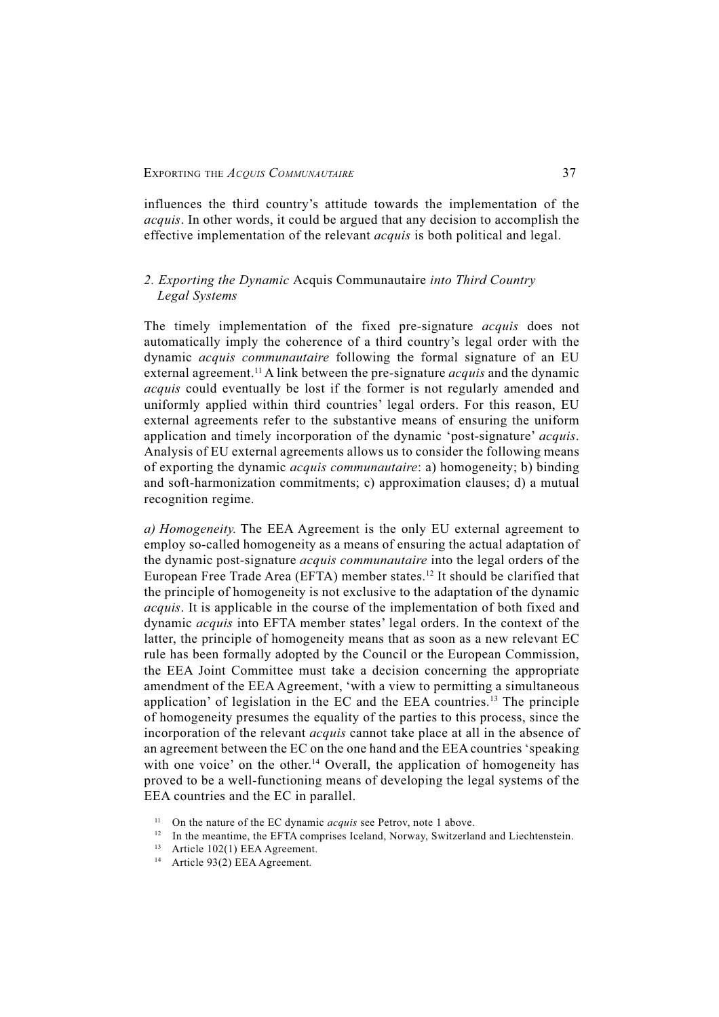influences the third country's attitude towards the implementation of the *acquis*. In other words, it could be argued that any decision to accomplish the effective implementation of the relevant *acquis* is both political and legal.

## *2. Exporting the Dynamic* Acquis Communautaire *into Third Country Legal Systems*

The timely implementation of the fixed pre-signature *acquis* does not automatically imply the coherence of a third country's legal order with the dynamic *acquis communautaire* following the formal signature of an EU external agreement.<sup>11</sup> A link between the pre-signature *acquis* and the dynamic *acquis* could eventually be lost if the former is not regularly amended and uniformly applied within third countries' legal orders. For this reason, EU external agreements refer to the substantive means of ensuring the uniform application and timely incorporation of the dynamic 'post-signature' *acquis*. Analysis of EU external agreements allows us to consider the following means of exporting the dynamic *acquis communautaire*: a) homogeneity; b) binding and soft-harmonization commitments; c) approximation clauses; d) a mutual recognition regime.

*a) Homogeneity.* The EEA Agreement is the only EU external agreement to employ so-called homogeneity as a means of ensuring the actual adaptation of the dynamic post-signature *acquis communautaire* into the legal orders of the European Free Trade Area (EFTA) member states.<sup>12</sup> It should be clarified that the principle of homogeneity is not exclusive to the adaptation of the dynamic *acquis*. It is applicable in the course of the implementation of both fixed and dynamic *acquis* into EFTA member states' legal orders. In the context of the latter, the principle of homogeneity means that as soon as a new relevant EC rule has been formally adopted by the Council or the European Commission, the EEA Joint Committee must take a decision concerning the appropriate amendment of the EEA Agreement, 'with a view to permitting a simultaneous application' of legislation in the EC and the EEA countries.13 The principle of homogeneity presumes the equality of the parties to this process, since the incorporation of the relevant *acquis* cannot take place at all in the absence of an agreement between the EC on the one hand and the EEA countries 'speaking with one voice' on the other.<sup>14</sup> Overall, the application of homogeneity has proved to be a well-functioning means of developing the legal systems of the EEA countries and the EC in parallel.

<sup>&</sup>lt;sup>11</sup> On the nature of the EC dynamic *acquis* see Petrov, note 1 above.

In the meantime, the EFTA comprises Iceland, Norway, Switzerland and Liechtenstein.

<sup>13</sup> Article 102(1) EEA Agreement.

<sup>14</sup> Article 93(2) EEA Agreement*.*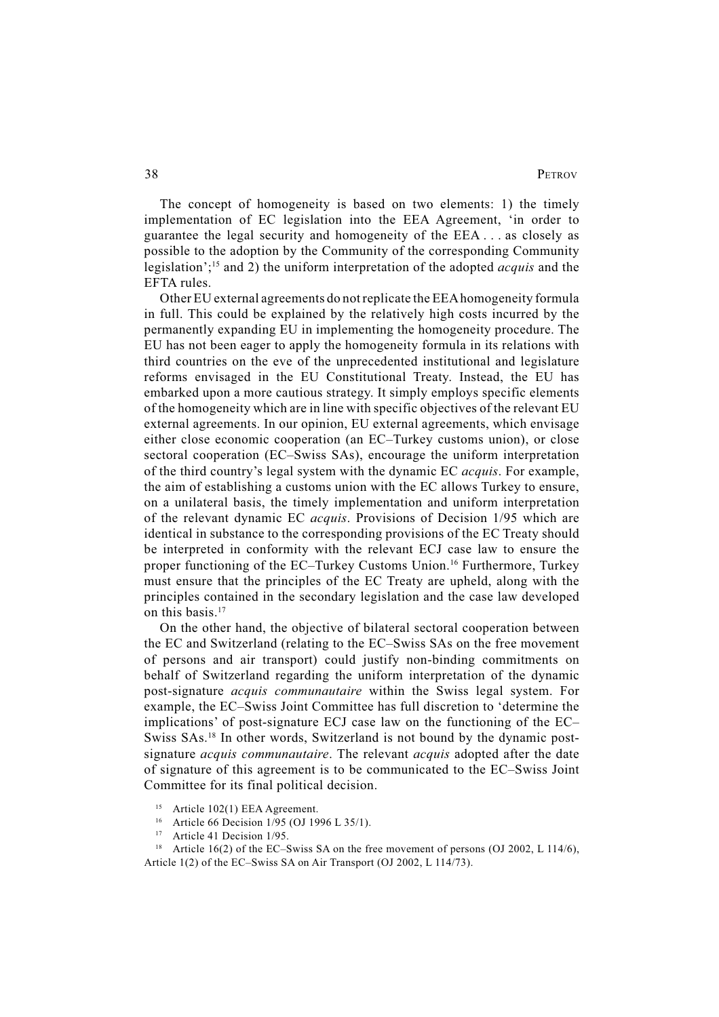The concept of homogeneity is based on two elements: 1) the timely implementation of EC legislation into the EEA Agreement, 'in order to guarantee the legal security and homogeneity of the EEA . . . as closely as possible to the adoption by the Community of the corresponding Community legislation';15 and 2) the uniform interpretation of the adopted *acquis* and the EFTA rules.

Other EU external agreements do not replicate the EEA homogeneity formula in full. This could be explained by the relatively high costs incurred by the permanently expanding EU in implementing the homogeneity procedure. The EU has not been eager to apply the homogeneity formula in its relations with third countries on the eve of the unprecedented institutional and legislature reforms envisaged in the EU Constitutional Treaty. Instead, the EU has embarked upon a more cautious strategy. It simply employs specific elements of the homogeneity which are in line with specific objectives of the relevant EU external agreements. In our opinion, EU external agreements, which envisage either close economic cooperation (an EC–Turkey customs union), or close sectoral cooperation (EC–Swiss SAs), encourage the uniform interpretation of the third country's legal system with the dynamic EC *acquis*. For example, the aim of establishing a customs union with the EC allows Turkey to ensure, on a unilateral basis, the timely implementation and uniform interpretation of the relevant dynamic EC *acquis*. Provisions of Decision 1/95 which are identical in substance to the corresponding provisions of the EC Treaty should be interpreted in conformity with the relevant ECJ case law to ensure the proper functioning of the EC–Turkey Customs Union.16 Furthermore, Turkey must ensure that the principles of the EC Treaty are upheld, along with the principles contained in the secondary legislation and the case law developed on this basis.<sup>17</sup>

On the other hand, the objective of bilateral sectoral cooperation between the EC and Switzerland (relating to the EC–Swiss SAs on the free movement of persons and air transport) could justify non-binding commitments on behalf of Switzerland regarding the uniform interpretation of the dynamic post-signature *acquis communautaire* within the Swiss legal system. For example, the EC–Swiss Joint Committee has full discretion to 'determine the implications' of post-signature ECJ case law on the functioning of the EC– Swiss SAs.<sup>18</sup> In other words, Switzerland is not bound by the dynamic postsignature *acquis communautaire*. The relevant *acquis* adopted after the date of signature of this agreement is to be communicated to the EC–Swiss Joint Committee for its final political decision.

- <sup>15</sup> Article 102(1) EEA Agreement.<br><sup>16</sup> Article 66 Decision 1/05 (OI 10)
- Article 66 Decision 1/95 (OJ 1996 L 35/1).
- <sup>17</sup> Article 41 Decision 1/95.
- <sup>18</sup> Article 16(2) of the EC–Swiss SA on the free movement of persons (OJ 2002, L 114/6), Article 1(2) of the EC–Swiss SA on Air Transport (OJ 2002, L 114/73).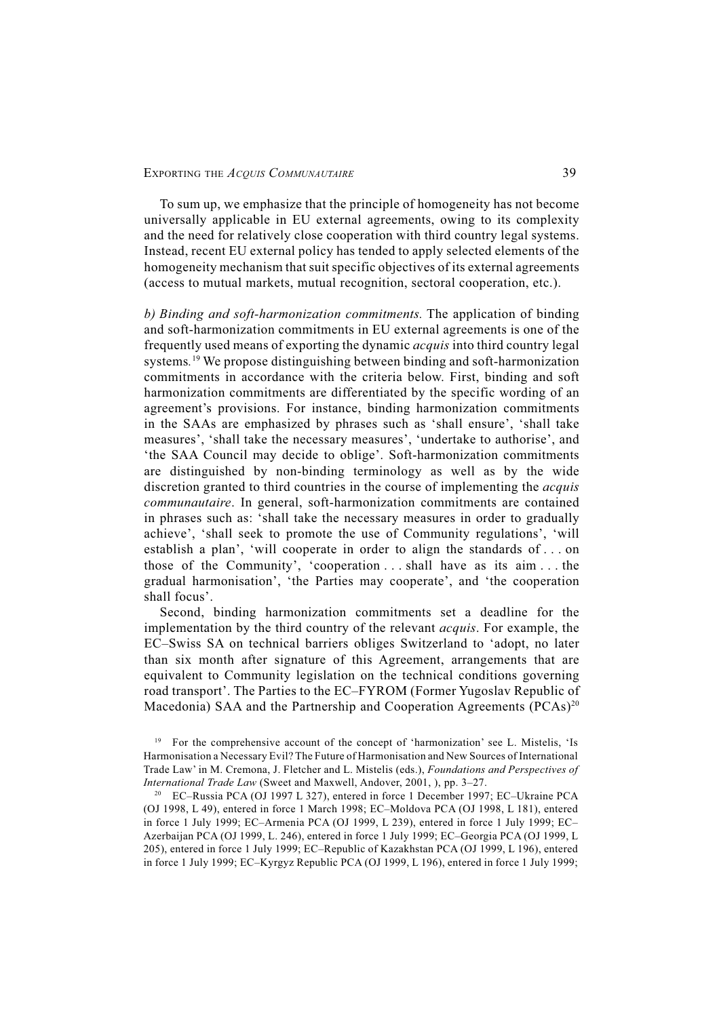To sum up, we emphasize that the principle of homogeneity has not become universally applicable in EU external agreements, owing to its complexity and the need for relatively close cooperation with third country legal systems. Instead, recent EU external policy has tended to apply selected elements of the homogeneity mechanism that suit specific objectives of its external agreements (access to mutual markets, mutual recognition, sectoral cooperation, etc.).

*b) Binding and soft-harmonization commitments.* The application of binding and soft-harmonization commitments in EU external agreements is one of the frequently used means of exporting the dynamic *acquis* into third country legal systems*.* 19 We propose distinguishing between binding and soft-harmonization commitments in accordance with the criteria below. First, binding and soft harmonization commitments are differentiated by the specific wording of an agreement's provisions. For instance, binding harmonization commitments in the SAAs are emphasized by phrases such as 'shall ensure', 'shall take measures', 'shall take the necessary measures', 'undertake to authorise', and 'the SAA Council may decide to oblige'. Soft-harmonization commitments are distinguished by non-binding terminology as well as by the wide discretion granted to third countries in the course of implementing the *acquis communautaire*. In general, soft-harmonization commitments are contained in phrases such as: 'shall take the necessary measures in order to gradually achieve', 'shall seek to promote the use of Community regulations', 'will establish a plan', 'will cooperate in order to align the standards of . . . on those of the Community', 'cooperation . . . shall have as its aim . . . the gradual harmonisation', 'the Parties may cooperate', and 'the cooperation shall focus'.

Second, binding harmonization commitments set a deadline for the implementation by the third country of the relevant *acquis*. For example, the EC–Swiss SA on technical barriers obliges Switzerland to 'adopt, no later than six month after signature of this Agreement, arrangements that are equivalent to Community legislation on the technical conditions governing road transport'. The Parties to the EC–FYROM (Former Yugoslav Republic of Macedonia) SAA and the Partnership and Cooperation Agreements (PCAs)<sup>20</sup>

<sup>&</sup>lt;sup>19</sup> For the comprehensive account of the concept of 'harmonization' see L. Mistelis, 'Is Harmonisation a Necessary Evil? The Future of Harmonisation and New Sources of International Trade Law' in M. Cremona, J. Fletcher and L. Mistelis (eds.), *Foundations and Perspectives of International Trade Law* (Sweet and Maxwell, Andover, 2001, ), pp. 3–27.

<sup>20</sup> EC–Russia PCA (OJ 1997 L 327), entered in force 1 December 1997; EC–Ukraine PCA (OJ 1998, L 49), entered in force 1 March 1998; EC–Moldova PCA (OJ 1998, L 181), entered in force 1 July 1999; EC–Armenia PCA (OJ 1999, L 239), entered in force 1 July 1999; EC– Azerbaijan PCA (OJ 1999, L. 246), entered in force 1 July 1999; EC–Georgia PCA (OJ 1999, L 205), entered in force 1 July 1999; EC–Republic of Kazakhstan PCA (OJ 1999, L 196), entered in force 1 July 1999; EC–Kyrgyz Republic PCA (OJ 1999, L 196), entered in force 1 July 1999;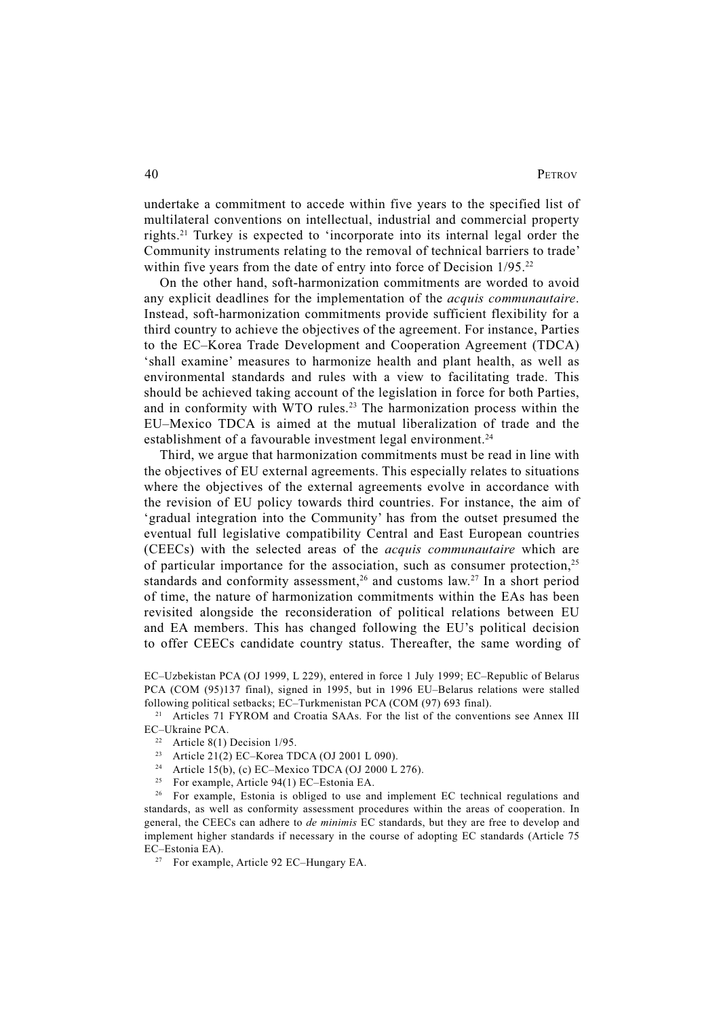undertake a commitment to accede within five years to the specified list of multilateral conventions on intellectual, industrial and commercial property rights.21 Turkey is expected to 'incorporate into its internal legal order the Community instruments relating to the removal of technical barriers to trade' within five years from the date of entry into force of Decision 1/95.<sup>22</sup>

On the other hand, soft-harmonization commitments are worded to avoid any explicit deadlines for the implementation of the *acquis communautaire*. Instead, soft-harmonization commitments provide sufficient flexibility for a third country to achieve the objectives of the agreement. For instance, Parties to the EC–Korea Trade Development and Cooperation Agreement (TDCA) 'shall examine' measures to harmonize health and plant health, as well as environmental standards and rules with a view to facilitating trade. This should be achieved taking account of the legislation in force for both Parties, and in conformity with WTO rules.<sup>23</sup> The harmonization process within the EU–Mexico TDCA is aimed at the mutual liberalization of trade and the establishment of a favourable investment legal environment.<sup>24</sup>

Third, we argue that harmonization commitments must be read in line with the objectives of EU external agreements. This especially relates to situations where the objectives of the external agreements evolve in accordance with the revision of EU policy towards third countries. For instance, the aim of 'gradual integration into the Community' has from the outset presumed the eventual full legislative compatibility Central and East European countries (CEECs) with the selected areas of the *acquis communautaire* which are of particular importance for the association, such as consumer protection,25 standards and conformity assessment,<sup>26</sup> and customs law.<sup>27</sup> In a short period of time, the nature of harmonization commitments within the EAs has been revisited alongside the reconsideration of political relations between EU and EA members. This has changed following the EU's political decision to offer CEECs candidate country status. Thereafter, the same wording of

- 23 Article 21(2) EC–Korea TDCA (OJ 2001 L 090).
- <sup>24</sup> Article 15(b), (c) EC–Mexico TDCA (OJ 2000 L 276).
- <sup>25</sup> For example, Article 94(1) EC–Estonia EA.

<sup>26</sup> For example, Estonia is obliged to use and implement EC technical regulations and standards, as well as conformity assessment procedures within the areas of cooperation. In general, the CEECs can adhere to *de minimis* EC standards, but they are free to develop and implement higher standards if necessary in the course of adopting EC standards (Article 75 EC–Estonia EA).

<sup>27</sup> For example, Article 92 EC–Hungary EA.

EC–Uzbekistan PCA (OJ 1999, L 229), entered in force 1 July 1999; EC–Republic of Belarus PCA (COM (95)137 final), signed in 1995, but in 1996 EU–Belarus relations were stalled following political setbacks; EC–Turkmenistan PCA (COM (97) 693 final).

<sup>&</sup>lt;sup>21</sup> Articles 71 FYROM and Croatia SAAs. For the list of the conventions see Annex III EC–Ukraine PCA.

<sup>&</sup>lt;sup>22</sup> Article 8(1) Decision  $1/95$ .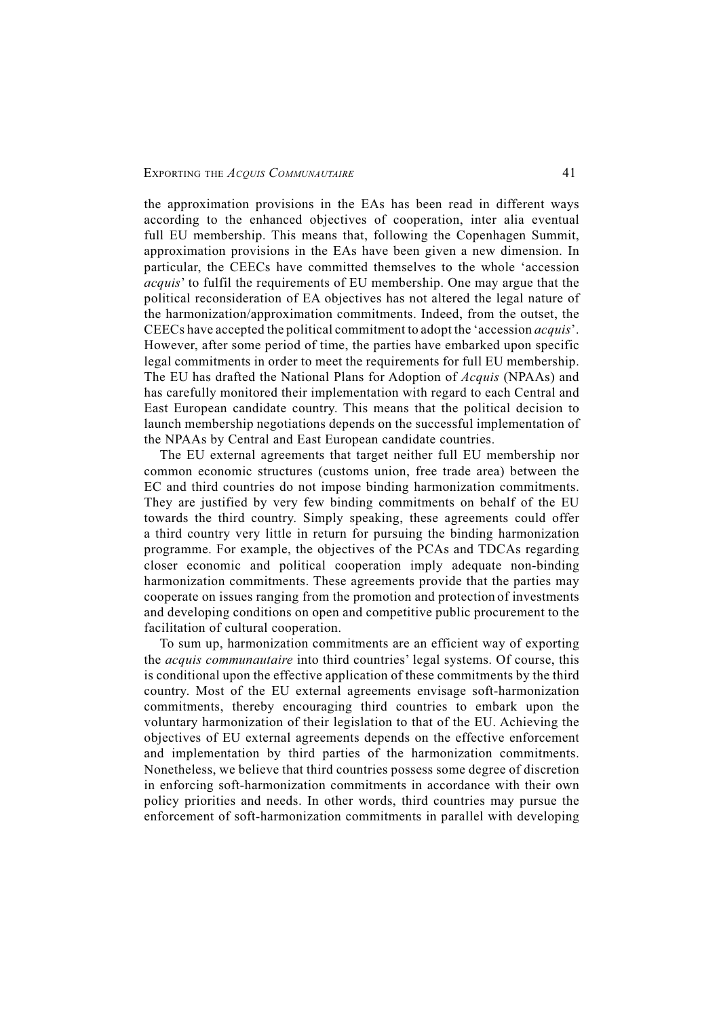the approximation provisions in the EAs has been read in different ways according to the enhanced objectives of cooperation, inter alia eventual full EU membership. This means that, following the Copenhagen Summit, approximation provisions in the EAs have been given a new dimension. In particular, the CEECs have committed themselves to the whole 'accession *acquis*' to fulfil the requirements of EU membership. One may argue that the political reconsideration of EA objectives has not altered the legal nature of the harmonization/approximation commitments. Indeed, from the outset, the CEECs have accepted the political commitment to adopt the 'accession *acquis*'. However, after some period of time, the parties have embarked upon specific legal commitments in order to meet the requirements for full EU membership. The EU has drafted the National Plans for Adoption of *Acquis* (NPAAs) and has carefully monitored their implementation with regard to each Central and East European candidate country. This means that the political decision to launch membership negotiations depends on the successful implementation of the NPAAs by Central and East European candidate countries.

The EU external agreements that target neither full EU membership nor common economic structures (customs union, free trade area) between the EC and third countries do not impose binding harmonization commitments. They are justified by very few binding commitments on behalf of the EU towards the third country. Simply speaking, these agreements could offer a third country very little in return for pursuing the binding harmonization programme. For example, the objectives of the PCAs and TDCAs regarding closer economic and political cooperation imply adequate non-binding harmonization commitments. These agreements provide that the parties may cooperate on issues ranging from the promotion and protection of investments and developing conditions on open and competitive public procurement to the facilitation of cultural cooperation.

To sum up, harmonization commitments are an efficient way of exporting the *acquis communautaire* into third countries' legal systems. Of course, this is conditional upon the effective application of these commitments by the third country. Most of the EU external agreements envisage soft-harmonization commitments, thereby encouraging third countries to embark upon the voluntary harmonization of their legislation to that of the EU. Achieving the objectives of EU external agreements depends on the effective enforcement and implementation by third parties of the harmonization commitments. Nonetheless, we believe that third countries possess some degree of discretion in enforcing soft-harmonization commitments in accordance with their own policy priorities and needs. In other words, third countries may pursue the enforcement of soft-harmonization commitments in parallel with developing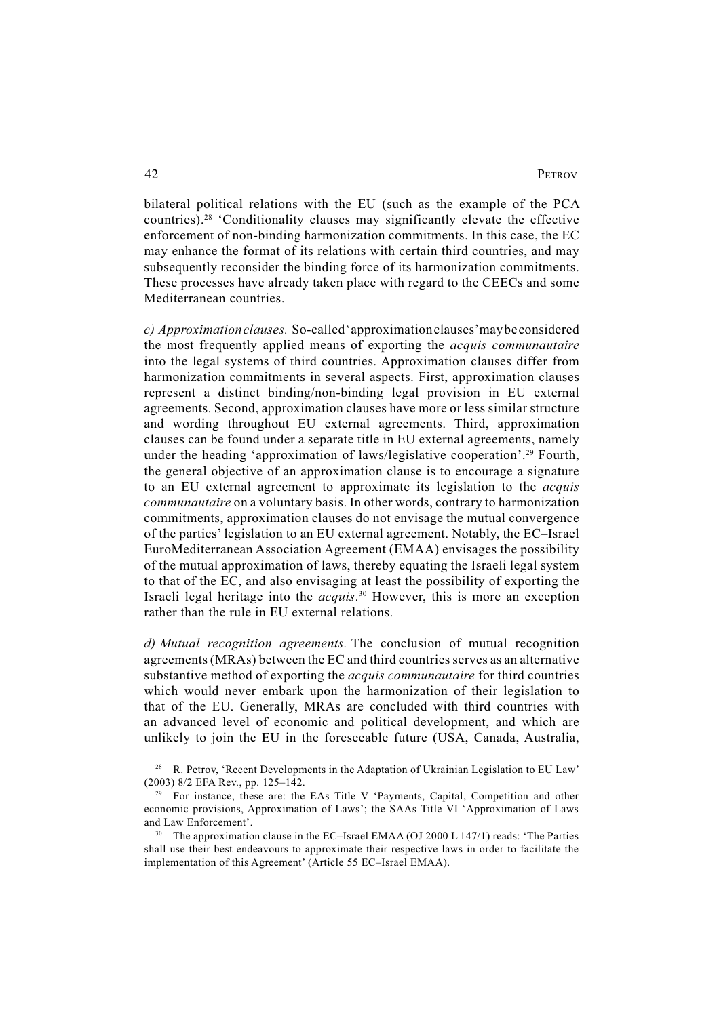bilateral political relations with the EU (such as the example of the PCA countries).28 'Conditionality clauses may significantly elevate the effective enforcement of non-binding harmonization commitments. In this case, the EC may enhance the format of its relations with certain third countries, and may subsequently reconsider the binding force of its harmonization commitments. These processes have already taken place with regard to the CEECs and some Mediterranean countries.

*c) Approximation clauses.* So-called 'approximation clauses' may be considered the most frequently applied means of exporting the *acquis communautaire* into the legal systems of third countries. Approximation clauses differ from harmonization commitments in several aspects. First, approximation clauses represent a distinct binding/non-binding legal provision in EU external agreements. Second, approximation clauses have more or less similar structure and wording throughout EU external agreements. Third, approximation clauses can be found under a separate title in EU external agreements, namely under the heading 'approximation of laws/legislative cooperation'.<sup>29</sup> Fourth, the general objective of an approximation clause is to encourage a signature to an EU external agreement to approximate its legislation to the *acquis communautaire* on a voluntary basis. In other words, contrary to harmonization commitments, approximation clauses do not envisage the mutual convergence of the parties' legislation to an EU external agreement. Notably, the EC–Israel EuroMediterranean Association Agreement (EMAA) envisages the possibility of the mutual approximation of laws, thereby equating the Israeli legal system to that of the EC, and also envisaging at least the possibility of exporting the Israeli legal heritage into the *acquis*. 30 However, this is more an exception rather than the rule in EU external relations.

*d) Mutual recognition agreements.* The conclusion of mutual recognition agreements (MRAs) between the EC and third countries serves as an alternative substantive method of exporting the *acquis communautaire* for third countries which would never embark upon the harmonization of their legislation to that of the EU. Generally, MRAs are concluded with third countries with an advanced level of economic and political development, and which are unlikely to join the EU in the foreseeable future (USA, Canada, Australia,

<sup>28</sup> R. Petrov, 'Recent Developments in the Adaptation of Ukrainian Legislation to EU Law' (2003) 8/2 EFA Rev., pp. 125–142.

<sup>&</sup>lt;sup>29</sup> For instance, these are: the EAs Title V 'Payments, Capital, Competition and other economic provisions, Approximation of Laws'; the SAAs Title VI 'Approximation of Laws and Law Enforcement'.

<sup>&</sup>lt;sup>30</sup> The approximation clause in the EC–Israel EMAA (OJ 2000 L 147/1) reads: 'The Parties shall use their best endeavours to approximate their respective laws in order to facilitate the implementation of this Agreement' (Article 55 EC–Israel EMAA).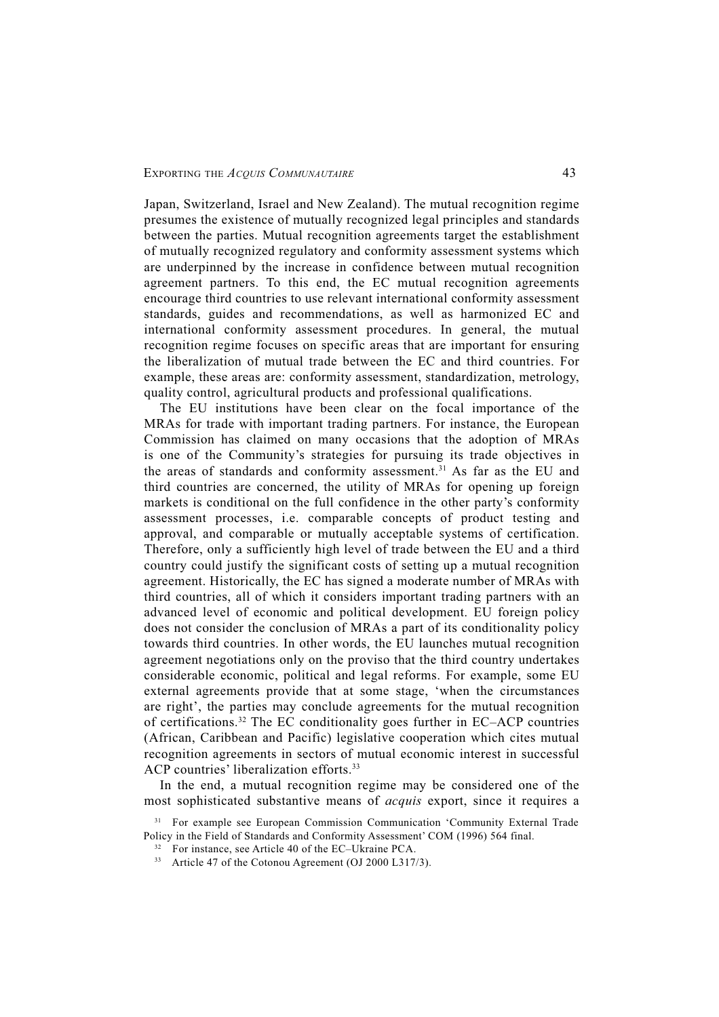Japan, Switzerland, Israel and New Zealand). The mutual recognition regime presumes the existence of mutually recognized legal principles and standards between the parties. Mutual recognition agreements target the establishment of mutually recognized regulatory and conformity assessment systems which are underpinned by the increase in confidence between mutual recognition agreement partners. To this end, the EC mutual recognition agreements encourage third countries to use relevant international conformity assessment standards, guides and recommendations, as well as harmonized EC and international conformity assessment procedures. In general, the mutual recognition regime focuses on specific areas that are important for ensuring the liberalization of mutual trade between the EC and third countries. For example, these areas are: conformity assessment, standardization, metrology, quality control, agricultural products and professional qualifications.

The EU institutions have been clear on the focal importance of the MRAs for trade with important trading partners. For instance, the European Commission has claimed on many occasions that the adoption of MRAs is one of the Community's strategies for pursuing its trade objectives in the areas of standards and conformity assessment.<sup>31</sup> As far as the EU and third countries are concerned, the utility of MRAs for opening up foreign markets is conditional on the full confidence in the other party's conformity assessment processes, i.e. comparable concepts of product testing and approval, and comparable or mutually acceptable systems of certification. Therefore, only a sufficiently high level of trade between the EU and a third country could justify the significant costs of setting up a mutual recognition agreement. Historically, the EC has signed a moderate number of MRAs with third countries, all of which it considers important trading partners with an advanced level of economic and political development. EU foreign policy does not consider the conclusion of MRAs a part of its conditionality policy towards third countries. In other words, the EU launches mutual recognition agreement negotiations only on the proviso that the third country undertakes considerable economic, political and legal reforms. For example, some EU external agreements provide that at some stage, 'when the circumstances are right', the parties may conclude agreements for the mutual recognition of certifications.32 The EC conditionality goes further in EC–ACP countries (African, Caribbean and Pacific) legislative cooperation which cites mutual recognition agreements in sectors of mutual economic interest in successful ACP countries' liberalization efforts.<sup>33</sup>

In the end, a mutual recognition regime may be considered one of the most sophisticated substantive means of *acquis* export, since it requires a

<sup>31</sup> For example see European Commission Communication 'Community External Trade Policy in the Field of Standards and Conformity Assessment' COM (1996) 564 final.

<sup>32</sup> For instance, see Article 40 of the EC–Ukraine PCA.

<sup>&</sup>lt;sup>33</sup> Article 47 of the Cotonou Agreement (OJ 2000 L317/3).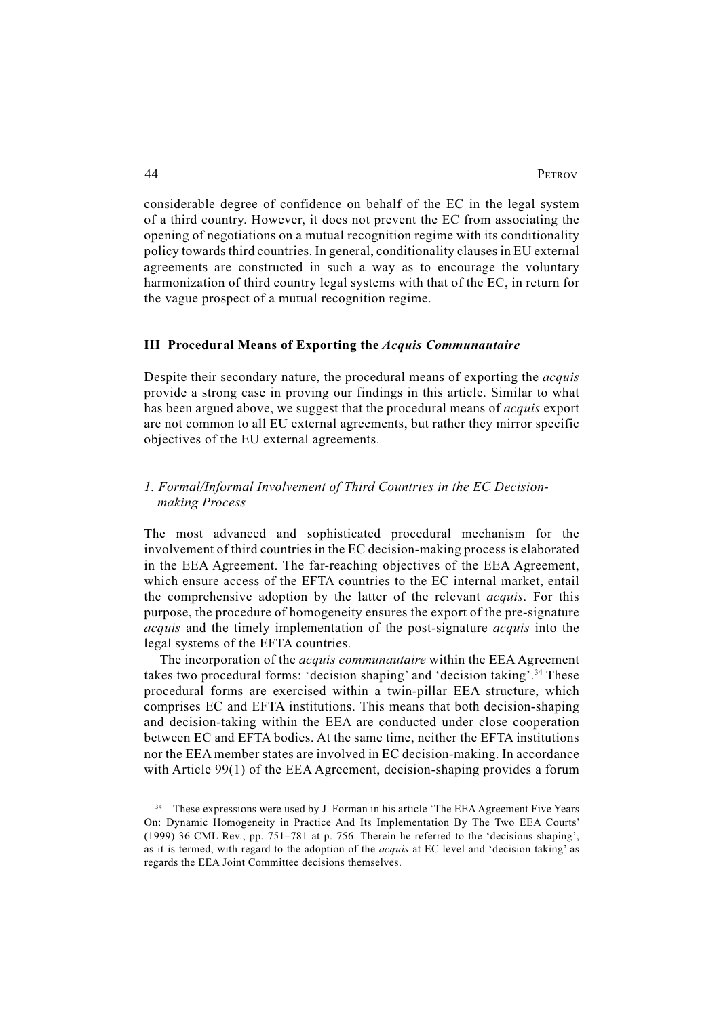considerable degree of confidence on behalf of the EC in the legal system of a third country. However, it does not prevent the EC from associating the opening of negotiations on a mutual recognition regime with its conditionality policy towards third countries. In general, conditionality clauses in EU external agreements are constructed in such a way as to encourage the voluntary harmonization of third country legal systems with that of the EC, in return for the vague prospect of a mutual recognition regime.

#### **III Procedural Means of Exporting the** *Acquis Communautaire*

Despite their secondary nature, the procedural means of exporting the *acquis* provide a strong case in proving our findings in this article. Similar to what has been argued above, we suggest that the procedural means of *acquis* export are not common to all EU external agreements, but rather they mirror specific objectives of the EU external agreements.

## *1. Formal/Informal Involvement of Third Countries in the EC Decisionmaking Process*

The most advanced and sophisticated procedural mechanism for the involvement of third countries in the EC decision-making process is elaborated in the EEA Agreement. The far-reaching objectives of the EEA Agreement, which ensure access of the EFTA countries to the EC internal market, entail the comprehensive adoption by the latter of the relevant *acquis*. For this purpose, the procedure of homogeneity ensures the export of the pre-signature *acquis* and the timely implementation of the post-signature *acquis* into the legal systems of the EFTA countries.

The incorporation of the *acquis communautaire* within the EEA Agreement takes two procedural forms: 'decision shaping' and 'decision taking'.34 These procedural forms are exercised within a twin-pillar EEA structure, which comprises EC and EFTA institutions. This means that both decision-shaping and decision-taking within the EEA are conducted under close cooperation between EC and EFTA bodies. At the same time, neither the EFTA institutions nor the EEA member states are involved in EC decision-making. In accordance with Article 99(1) of the EEA Agreement, decision-shaping provides a forum

<sup>&</sup>lt;sup>34</sup> These expressions were used by J. Forman in his article 'The EEA Agreement Five Years On: Dynamic Homogeneity in Practice And Its Implementation By The Two EEA Courts' (1999) 36 CML Rev., pp. 751–781 at p. 756. Therein he referred to the 'decisions shaping', as it is termed, with regard to the adoption of the *acquis* at EC level and 'decision taking' as regards the EEA Joint Committee decisions themselves.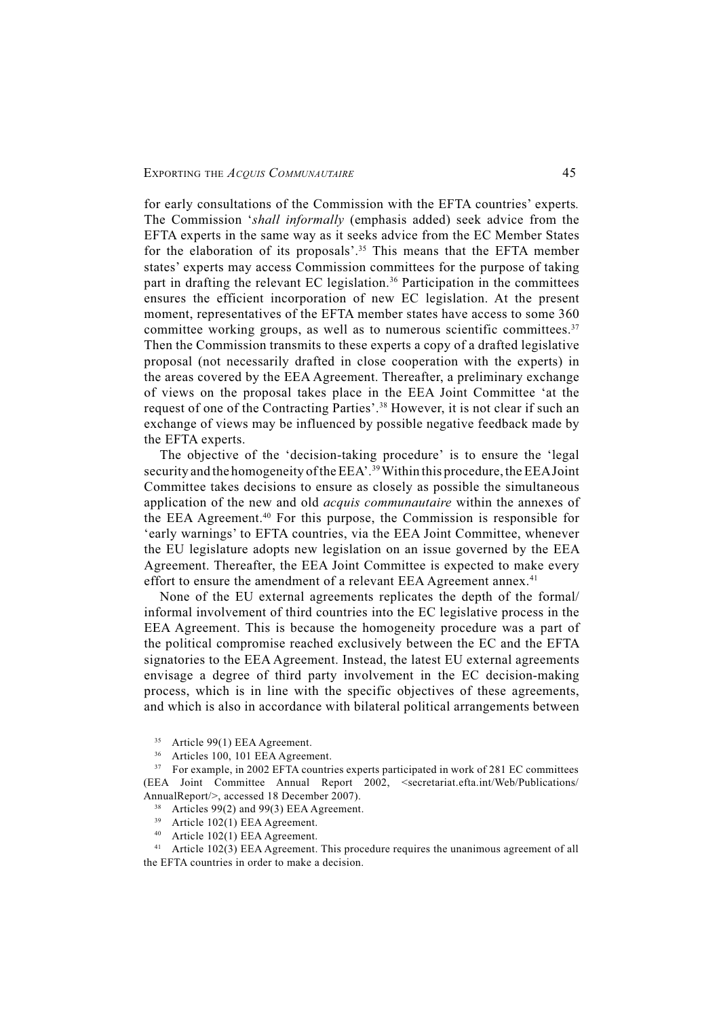for early consultations of the Commission with the EFTA countries' experts*.*  The Commission '*shall informally* (emphasis added) seek advice from the EFTA experts in the same way as it seeks advice from the EC Member States for the elaboration of its proposals'.<sup>35</sup> This means that the EFTA member states' experts may access Commission committees for the purpose of taking part in drafting the relevant EC legislation.<sup>36</sup> Participation in the committees ensures the efficient incorporation of new EC legislation. At the present moment, representatives of the EFTA member states have access to some 360 committee working groups, as well as to numerous scientific committees.<sup>37</sup> Then the Commission transmits to these experts a copy of a drafted legislative proposal (not necessarily drafted in close cooperation with the experts) in the areas covered by the EEA Agreement. Thereafter, a preliminary exchange of views on the proposal takes place in the EEA Joint Committee 'at the request of one of the Contracting Parties'.38 However, it is not clear if such an exchange of views may be influenced by possible negative feedback made by the EFTA experts.

The objective of the 'decision-taking procedure' is to ensure the 'legal security and the homogeneity of the EEA'.<sup>39</sup> Within this procedure, the EEA Joint Committee takes decisions to ensure as closely as possible the simultaneous application of the new and old *acquis communautaire* within the annexes of the EEA Agreement.40 For this purpose, the Commission is responsible for 'early warnings' to EFTA countries, via the EEA Joint Committee, whenever the EU legislature adopts new legislation on an issue governed by the EEA Agreement. Thereafter, the EEA Joint Committee is expected to make every effort to ensure the amendment of a relevant EEA Agreement annex.<sup>41</sup>

None of the EU external agreements replicates the depth of the formal/ informal involvement of third countries into the EC legislative process in the EEA Agreement. This is because the homogeneity procedure was a part of the political compromise reached exclusively between the EC and the EFTA signatories to the EEA Agreement. Instead, the latest EU external agreements envisage a degree of third party involvement in the EC decision-making process, which is in line with the specific objectives of these agreements, and which is also in accordance with bilateral political arrangements between

36 Articles 100, 101 EEA Agreement.

<sup>37</sup> For example, in 2002 EFTA countries experts participated in work of 281 EC committees (EEA Joint Committee Annual Report 2002, <secretariat.efta.int/Web/Publications/ AnnualReport/>, accessed 18 December 2007).

- <sup>38</sup> Articles 99(2) and 99(3) EEA Agreement.
- 39 Article 102(1) EEA Agreement.
- 40 Article 102(1) EEA Agreement.

<sup>41</sup> Article 102(3) EEA Agreement. This procedure requires the unanimous agreement of all the EFTA countries in order to make a decision.

<sup>35</sup> Article 99(1) EEA Agreement.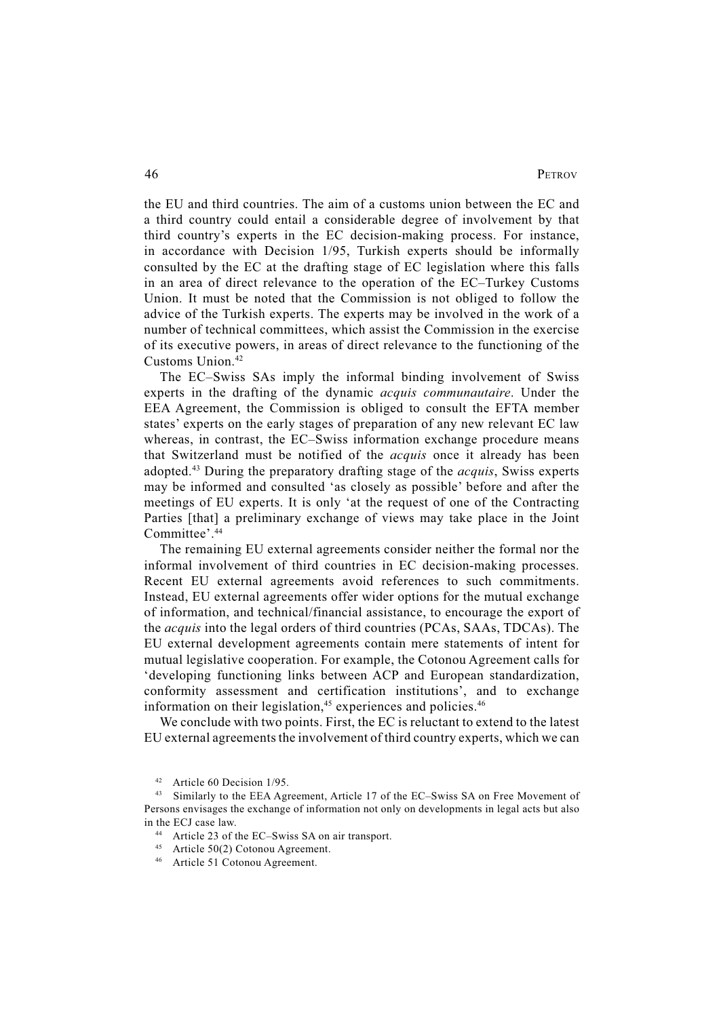the EU and third countries. The aim of a customs union between the EC and a third country could entail a considerable degree of involvement by that third country's experts in the EC decision-making process. For instance, in accordance with Decision 1/95, Turkish experts should be informally consulted by the EC at the drafting stage of EC legislation where this falls in an area of direct relevance to the operation of the EC–Turkey Customs Union. It must be noted that the Commission is not obliged to follow the advice of the Turkish experts. The experts may be involved in the work of a number of technical committees, which assist the Commission in the exercise of its executive powers, in areas of direct relevance to the functioning of the Customs Union.42

The EC–Swiss SAs imply the informal binding involvement of Swiss experts in the drafting of the dynamic *acquis communautaire*. Under the EEA Agreement, the Commission is obliged to consult the EFTA member states' experts on the early stages of preparation of any new relevant EC law whereas, in contrast, the EC–Swiss information exchange procedure means that Switzerland must be notified of the *acquis* once it already has been adopted.43 During the preparatory drafting stage of the *acquis*, Swiss experts may be informed and consulted 'as closely as possible' before and after the meetings of EU experts. It is only 'at the request of one of the Contracting Parties [that] a preliminary exchange of views may take place in the Joint Committee'.44

The remaining EU external agreements consider neither the formal nor the informal involvement of third countries in EC decision-making processes. Recent EU external agreements avoid references to such commitments. Instead, EU external agreements offer wider options for the mutual exchange of information, and technical/financial assistance, to encourage the export of the *acquis* into the legal orders of third countries (PCAs, SAAs, TDCAs). The EU external development agreements contain mere statements of intent for mutual legislative cooperation. For example, the Cotonou Agreement calls for 'developing functioning links between ACP and European standardization, conformity assessment and certification institutions', and to exchange information on their legislation, $45$  experiences and policies. $46$ 

We conclude with two points. First, the EC is reluctant to extend to the latest EU external agreements the involvement of third country experts, which we can

- 44 Article 23 of the EC–Swiss SA on air transport.
- 45 Article 50(2) Cotonou Agreement.
- 46 Article 51 Cotonou Agreement.

<sup>42</sup> Article 60 Decision 1/95.

<sup>43</sup> Similarly to the EEA Agreement, Article 17 of the EC–Swiss SA on Free Movement of Persons envisages the exchange of information not only on developments in legal acts but also in the ECJ case law.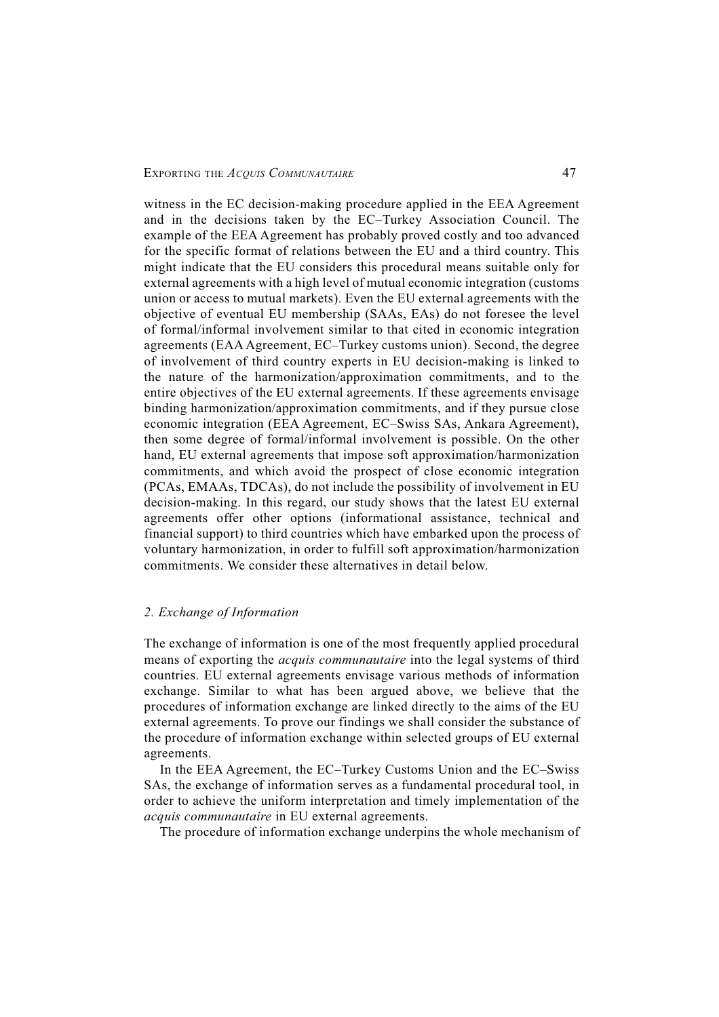witness in the EC decision-making procedure applied in the EEA Agreement and in the decisions taken by the EC–Turkey Association Council. The example of the EEA Agreement has probably proved costly and too advanced for the specific format of relations between the EU and a third country. This might indicate that the EU considers this procedural means suitable only for external agreements with a high level of mutual economic integration (customs union or access to mutual markets). Even the EU external agreements with the objective of eventual EU membership (SAAs, EAs) do not foresee the level of formal/informal involvement similar to that cited in economic integration agreements (EAA Agreement, EC–Turkey customs union). Second, the degree of involvement of third country experts in EU decision-making is linked to the nature of the harmonization/approximation commitments, and to the entire objectives of the EU external agreements. If these agreements envisage binding harmonization/approximation commitments, and if they pursue close economic integration (EEA Agreement, EC–Swiss SAs, Ankara Agreement), then some degree of formal/informal involvement is possible. On the other hand, EU external agreements that impose soft approximation/harmonization commitments, and which avoid the prospect of close economic integration (PCAs, EMAAs, TDCAs), do not include the possibility of involvement in EU decision-making. In this regard, our study shows that the latest EU external agreements offer other options (informational assistance, technical and financial support) to third countries which have embarked upon the process of voluntary harmonization, in order to fulfill soft approximation/harmonization commitments. We consider these alternatives in detail below.

### *2. Exchange of Information*

The exchange of information is one of the most frequently applied procedural means of exporting the *acquis communautaire* into the legal systems of third countries. EU external agreements envisage various methods of information exchange. Similar to what has been argued above, we believe that the procedures of information exchange are linked directly to the aims of the EU external agreements. To prove our findings we shall consider the substance of the procedure of information exchange within selected groups of EU external agreements.

In the EEA Agreement, the EC–Turkey Customs Union and the EC–Swiss SAs, the exchange of information serves as a fundamental procedural tool, in order to achieve the uniform interpretation and timely implementation of the *acquis communautaire* in EU external agreements.

The procedure of information exchange underpins the whole mechanism of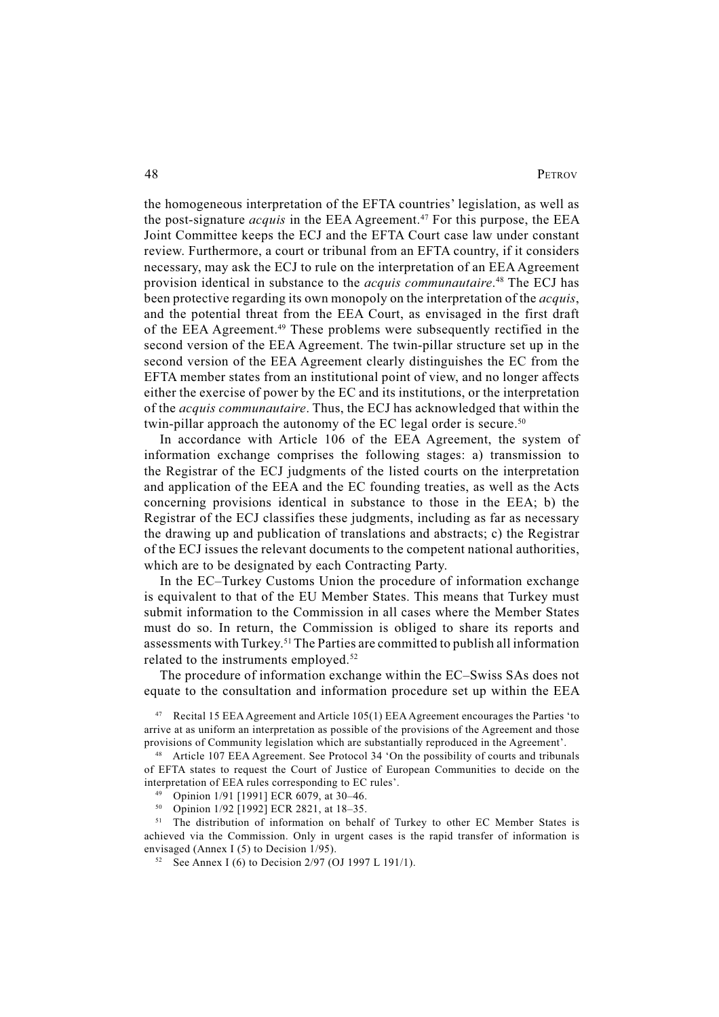the homogeneous interpretation of the EFTA countries' legislation, as well as the post-signature *acquis* in the EEA Agreement.<sup>47</sup> For this purpose, the EEA Joint Committee keeps the ECJ and the EFTA Court case law under constant review. Furthermore, a court or tribunal from an EFTA country, if it considers necessary, may ask the ECJ to rule on the interpretation of an EEA Agreement provision identical in substance to the *acquis communautaire*. 48 The ECJ has been protective regarding its own monopoly on the interpretation of the *acquis*, and the potential threat from the EEA Court, as envisaged in the first draft of the EEA Agreement.<sup>49</sup> These problems were subsequently rectified in the second version of the EEA Agreement. The twin-pillar structure set up in the second version of the EEA Agreement clearly distinguishes the EC from the EFTA member states from an institutional point of view, and no longer affects either the exercise of power by the EC and its institutions, or the interpretation of the *acquis communautaire*. Thus, the ECJ has acknowledged that within the twin-pillar approach the autonomy of the EC legal order is secure.<sup>50</sup>

In accordance with Article 106 of the EEA Agreement, the system of information exchange comprises the following stages: a) transmission to the Registrar of the ECJ judgments of the listed courts on the interpretation and application of the EEA and the EC founding treaties, as well as the Acts concerning provisions identical in substance to those in the EEA; b) the Registrar of the ECJ classifies these judgments, including as far as necessary the drawing up and publication of translations and abstracts; c) the Registrar of the ECJ issues the relevant documents to the competent national authorities, which are to be designated by each Contracting Party.

In the EC–Turkey Customs Union the procedure of information exchange is equivalent to that of the EU Member States. This means that Turkey must submit information to the Commission in all cases where the Member States must do so. In return, the Commission is obliged to share its reports and assessments with Turkey.51 The Parties are committed to publish all information related to the instruments employed.<sup>52</sup>

The procedure of information exchange within the EC–Swiss SAs does not equate to the consultation and information procedure set up within the EEA

47 Recital 15 EEA Agreement and Article 105(1) EEA Agreement encourages the Parties 'to arrive at as uniform an interpretation as possible of the provisions of the Agreement and those provisions of Community legislation which are substantially reproduced in the Agreement'.

48 Article 107 EEA Agreement. See Protocol 34 'On the possibility of courts and tribunals of EFTA states to request the Court of Justice of European Communities to decide on the interpretation of EEA rules corresponding to EC rules'.

49 Opinion 1/91 [1991] ECR 6079, at 30–46.

<sup>50</sup> Opinion 1/92 [1992] ECR 2821, at  $18-35$ .<br><sup>51</sup> The distribution of information on beha

51 The distribution of information on behalf of Turkey to other EC Member States is achieved via the Commission. Only in urgent cases is the rapid transfer of information is envisaged (Annex I (5) to Decision 1/95).

<sup>52</sup> See Annex I (6) to Decision 2/97 (OJ 1997 L 191/1).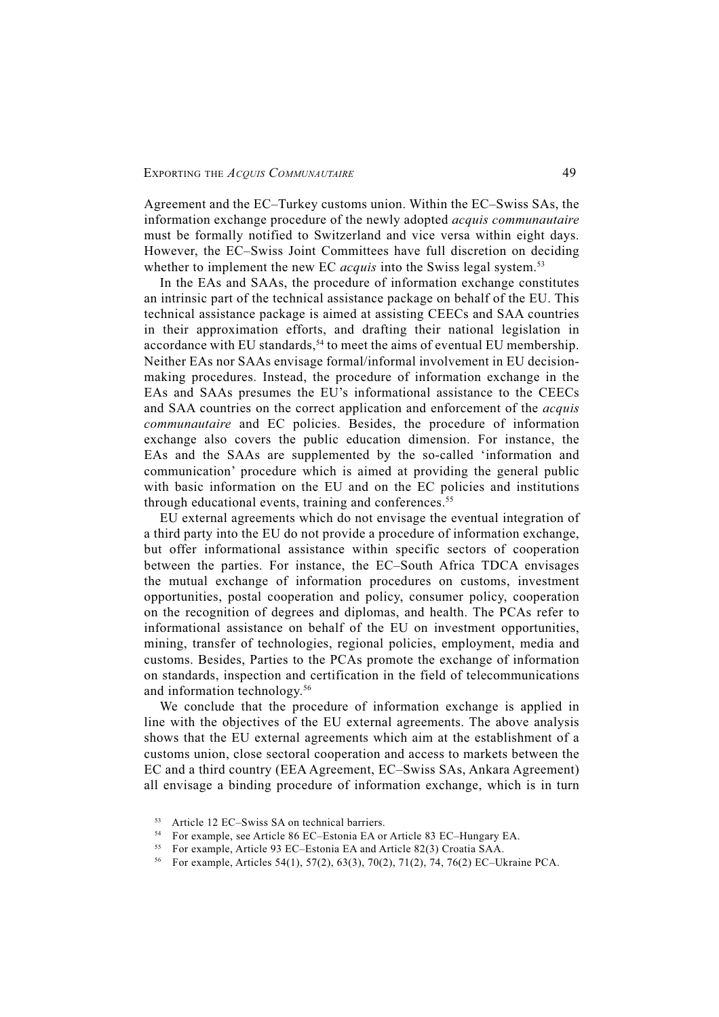Agreement and the EC–Turkey customs union. Within the EC–Swiss SAs, the information exchange procedure of the newly adopted *acquis communautaire* must be formally notified to Switzerland and vice versa within eight days. However, the EC–Swiss Joint Committees have full discretion on deciding whether to implement the new EC *acquis* into the Swiss legal system.<sup>53</sup>

In the EAs and SAAs, the procedure of information exchange constitutes an intrinsic part of the technical assistance package on behalf of the EU. This technical assistance package is aimed at assisting CEECs and SAA countries in their approximation efforts, and drafting their national legislation in accordance with EU standards,<sup>54</sup> to meet the aims of eventual EU membership. Neither EAs nor SAAs envisage formal/informal involvement in EU decisionmaking procedures. Instead, the procedure of information exchange in the EAs and SAAs presumes the EU's informational assistance to the CEECs and SAA countries on the correct application and enforcement of the *acquis communautaire* and EC policies. Besides, the procedure of information exchange also covers the public education dimension. For instance, the EAs and the SAAs are supplemented by the so-called 'information and communication' procedure which is aimed at providing the general public with basic information on the EU and on the EC policies and institutions through educational events, training and conferences.<sup>55</sup>

EU external agreements which do not envisage the eventual integration of a third party into the EU do not provide a procedure of information exchange, but offer informational assistance within specific sectors of cooperation between the parties. For instance, the EC–South Africa TDCA envisages the mutual exchange of information procedures on customs, investment opportunities, postal cooperation and policy, consumer policy, cooperation on the recognition of degrees and diplomas, and health. The PCAs refer to informational assistance on behalf of the EU on investment opportunities, mining, transfer of technologies, regional policies, employment, media and customs. Besides, Parties to the PCAs promote the exchange of information on standards, inspection and certification in the field of telecommunications and information technology.56

We conclude that the procedure of information exchange is applied in line with the objectives of the EU external agreements. The above analysis shows that the EU external agreements which aim at the establishment of a customs union, close sectoral cooperation and access to markets between the EC and a third country (EEA Agreement, EC–Swiss SAs, Ankara Agreement) all envisage a binding procedure of information exchange, which is in turn

<sup>53</sup> Article 12 EC–Swiss SA on technical barriers.

<sup>54</sup> For example, see Article 86 EC–Estonia EA or Article 83 EC–Hungary EA.

<sup>55</sup> For example, Article 93 EC–Estonia EA and Article 82(3) Croatia SAA.

<sup>56</sup> For example, Articles 54(1), 57(2), 63(3), 70(2), 71(2), 74, 76(2) EC–Ukraine PCA.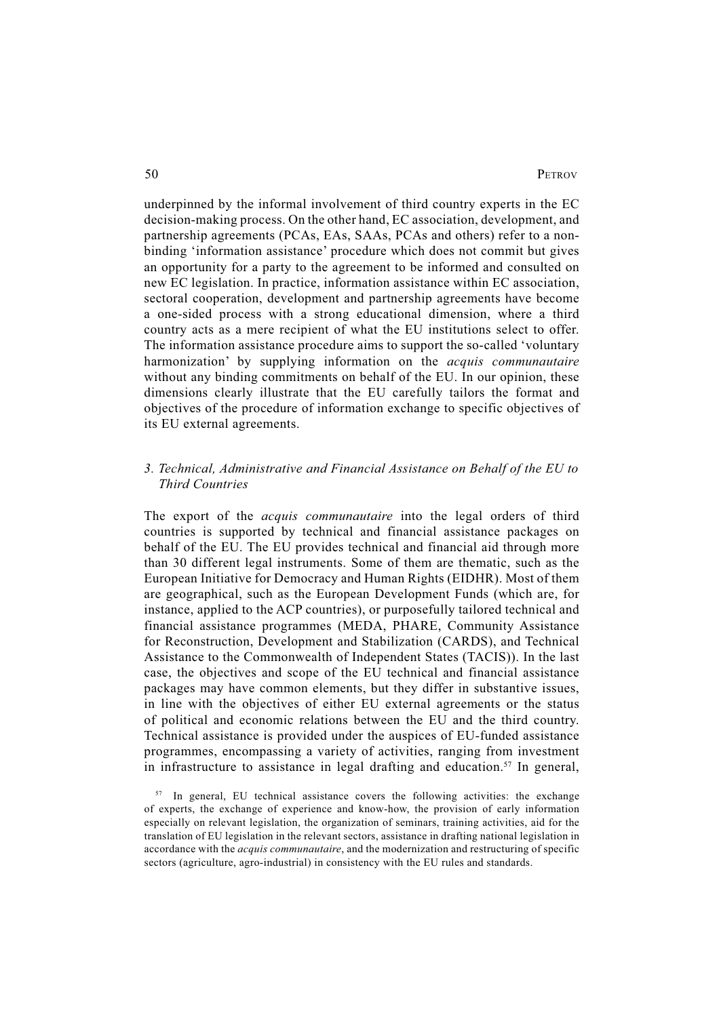underpinned by the informal involvement of third country experts in the EC decision-making process. On the other hand, EC association, development, and partnership agreements (PCAs, EAs, SAAs, PCAs and others) refer to a nonbinding 'information assistance' procedure which does not commit but gives an opportunity for a party to the agreement to be informed and consulted on new EC legislation. In practice, information assistance within EC association, sectoral cooperation, development and partnership agreements have become a one-sided process with a strong educational dimension, where a third country acts as a mere recipient of what the EU institutions select to offer. The information assistance procedure aims to support the so-called 'voluntary harmonization' by supplying information on the *acquis communautaire* without any binding commitments on behalf of the EU. In our opinion, these dimensions clearly illustrate that the EU carefully tailors the format and objectives of the procedure of information exchange to specific objectives of its EU external agreements.

## *3. Technical, Administrative and Financial Assistance on Behalf of the EU to Third Countries*

The export of the *acquis communautaire* into the legal orders of third countries is supported by technical and financial assistance packages on behalf of the EU. The EU provides technical and financial aid through more than 30 different legal instruments. Some of them are thematic, such as the European Initiative for Democracy and Human Rights (EIDHR). Most of them are geographical, such as the European Development Funds (which are, for instance, applied to the ACP countries), or purposefully tailored technical and financial assistance programmes (MEDA, PHARE, Community Assistance for Reconstruction, Development and Stabilization (CARDS), and Technical Assistance to the Commonwealth of Independent States (TACIS)). In the last case, the objectives and scope of the EU technical and financial assistance packages may have common elements, but they differ in substantive issues, in line with the objectives of either EU external agreements or the status of political and economic relations between the EU and the third country. Technical assistance is provided under the auspices of EU-funded assistance programmes, encompassing a variety of activities, ranging from investment in infrastructure to assistance in legal drafting and education.<sup>57</sup> In general,

<sup>&</sup>lt;sup>57</sup> In general, EU technical assistance covers the following activities: the exchange of experts, the exchange of experience and know-how, the provision of early information especially on relevant legislation, the organization of seminars, training activities, aid for the translation of EU legislation in the relevant sectors, assistance in drafting national legislation in accordance with the *acquis communautaire*, and the modernization and restructuring of specific sectors (agriculture, agro-industrial) in consistency with the EU rules and standards.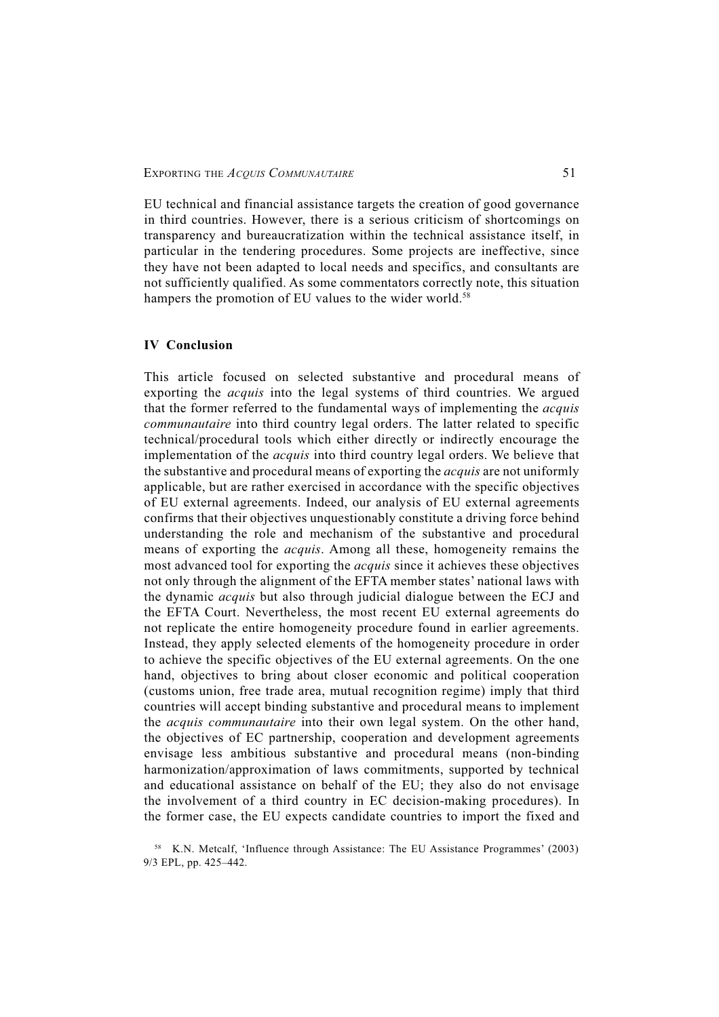EU technical and financial assistance targets the creation of good governance in third countries. However, there is a serious criticism of shortcomings on transparency and bureaucratization within the technical assistance itself, in particular in the tendering procedures. Some projects are ineffective, since they have not been adapted to local needs and specifics, and consultants are not sufficiently qualified. As some commentators correctly note, this situation hampers the promotion of EU values to the wider world.<sup>58</sup>

### **IV Conclusion**

This article focused on selected substantive and procedural means of exporting the *acquis* into the legal systems of third countries. We argued that the former referred to the fundamental ways of implementing the *acquis communautaire* into third country legal orders. The latter related to specific technical/procedural tools which either directly or indirectly encourage the implementation of the *acquis* into third country legal orders. We believe that the substantive and procedural means of exporting the *acquis* are not uniformly applicable, but are rather exercised in accordance with the specific objectives of EU external agreements. Indeed, our analysis of EU external agreements confirms that their objectives unquestionably constitute a driving force behind understanding the role and mechanism of the substantive and procedural means of exporting the *acquis*. Among all these, homogeneity remains the most advanced tool for exporting the *acquis* since it achieves these objectives not only through the alignment of the EFTA member states' national laws with the dynamic *acquis* but also through judicial dialogue between the ECJ and the EFTA Court. Nevertheless, the most recent EU external agreements do not replicate the entire homogeneity procedure found in earlier agreements. Instead, they apply selected elements of the homogeneity procedure in order to achieve the specific objectives of the EU external agreements. On the one hand, objectives to bring about closer economic and political cooperation (customs union, free trade area, mutual recognition regime) imply that third countries will accept binding substantive and procedural means to implement the *acquis communautaire* into their own legal system. On the other hand, the objectives of EC partnership, cooperation and development agreements envisage less ambitious substantive and procedural means (non-binding harmonization/approximation of laws commitments, supported by technical and educational assistance on behalf of the EU; they also do not envisage the involvement of a third country in EC decision-making procedures). In the former case, the EU expects candidate countries to import the fixed and

<sup>58</sup> K.N. Metcalf, 'Influence through Assistance: The EU Assistance Programmes' (2003) 9/3 EPL, pp. 425–442.